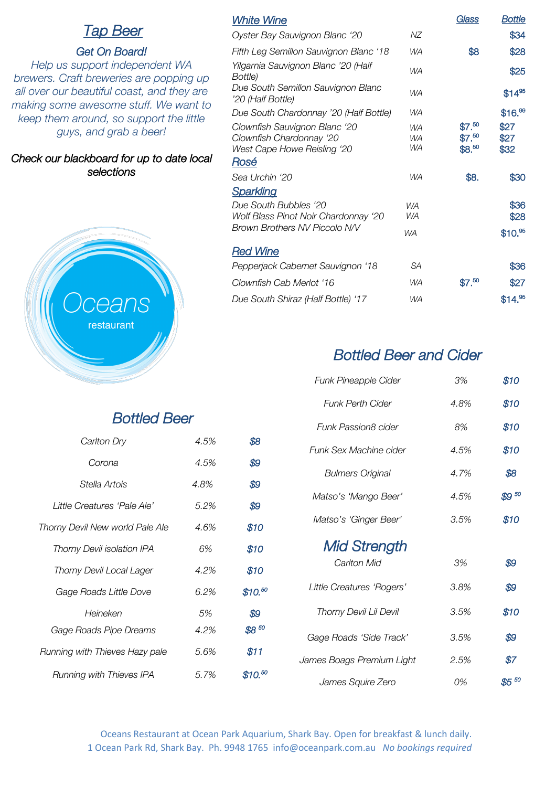# *Tap Beer*

## *Get On Board!*

*Help us support independent WA brewers. Craft breweries are popping up all over our beautiful coast, and they are making some awesome stuff. We want to keep them around, so support the little guys, and grab a beer!*

## *Check our blackboard for up to date local selections*



# *Bottled Beer*

| Carlton Dry                     | 4.5% | \$8       |
|---------------------------------|------|-----------|
| Corona                          | 4.5% | \$9       |
| Stella Artois                   | 4.8% | \$9       |
| Little Creatures 'Pale Ale'     | 5.2% | \$9       |
| Thorny Devil New world Pale Ale | 4.6% | \$10      |
| Thorny Devil isolation IPA      | 6%   | \$10      |
| Thorny Devil Local Lager        | 4.2% | \$10      |
| Gage Roads Little Dove          | 6.2% | \$10.50   |
| Heineken                        | 5%   | \$9       |
| Gage Roads Pipe Dreams          | 4.2% | $$8^{50}$ |
| Running with Thieves Hazy pale  | 5.6% | \$11      |
| Running with Thieves IPA        | 5.7% | \$10.50   |

|                              | Glass                      | <b>Bottle</b>        |
|------------------------------|----------------------------|----------------------|
| ΝZ                           |                            | \$34                 |
| WA                           | \$8                        | \$28                 |
| <b>WA</b>                    |                            | \$25                 |
| WA                           |                            | $$14^{95}$           |
| <b>WA</b>                    |                            | \$16. <sup>99</sup>  |
| WA<br><b>WA</b><br><b>WA</b> | \$7.50<br>\$7.50<br>\$8.50 | \$27<br>\$27<br>\$32 |
| <b>WA</b>                    | \$8.                       | \$30                 |
|                              |                            |                      |
| <b>WA</b><br>WA              |                            | \$36<br>\$28         |
| <b>WA</b>                    |                            | \$10. <sup>95</sup>  |
|                              |                            |                      |
| <b>SA</b>                    |                            | \$36                 |
| <b>WA</b>                    | \$7.50                     | \$27                 |
| <b>WA</b>                    |                            | \$14. <sup>95</sup>  |
|                              |                            |                      |

# *Bottled Beer and Cider*

| Funk Pineapple Cider      | 3%   | \$10      |
|---------------------------|------|-----------|
| Funk Perth Cider          | 4.8% | \$10      |
| Funk Passion8 cider       | 8%   | \$10      |
| Funk Sex Machine cider    | 4.5% | \$10      |
| <b>Bulmers Original</b>   | 4.7% | \$8       |
| Matso's 'Mango Beer'      | 4.5% | $$9^{50}$ |
| Matso's 'Ginger Beer'     | 3.5% | \$10      |
| <b>Mid Strength</b>       |      |           |
| Carlton Mid               | 3%   | \$9       |
| Little Creatures 'Rogers' | 3.8% | \$9       |
| Thorny Devil Lil Devil    | 3.5% | \$10      |
| Gage Roads 'Side Track'   | 3.5% | \$9       |
| James Boags Premium Light | 2.5% | \$7       |
| James Squire Zero         | 0%   | $$5^{50}$ |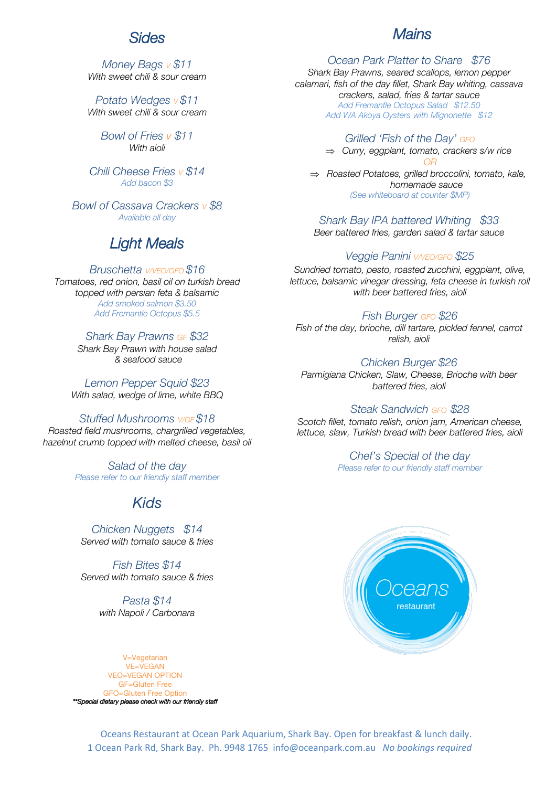## *Sides*

## *Mains*

*Money Bags V \$11 With sweet chili & sour cream*

*Potato Wedges <sup>V</sup> \$11 With sweet chili & sour cream*

> *Bowl of Fries v \$11 With aioli*

*Chili Cheese Fries V \$14 Add bacon \$3*

*Bowl of Cassava Crackers V \$8 Available all day*

# *Light Meals*

#### *Bruschetta V/VEO/GFO \$16*

*Tomatoes, red onion, basil oil on turkish bread topped with persian feta & balsamic Add smoked salmon \$3.50 Add Fremantle Octopus \$5.5*

#### *Shark Bay Prawns GF \$32*

*Shark Bay Prawn with house salad & seafood sauce*

*Lemon Pepper Squid \$23 With salad, wedge of lime, white BBQ*

#### *Stuffed Mushrooms V/GF \$18*

*Roasted field mushrooms, chargrilled vegetables, hazelnut crumb topped with melted cheese, basil oil*

> *Salad of the day Please refer to our friendly staff member*

## *Kids*

*Chicken Nuggets \$14 Served with tomato sauce & fries*

*Fish Bites \$14 Served with tomato sauce & fries*

> *Pasta \$14 with Napoli / Carbonara*

*Ocean Park Platter to Share \$76 Shark Bay Prawns, seared scallops, lemon pepper calamari, fish of the day fillet, Shark Bay whiting, cassava crackers, salad, fries & tartar sauce Add Fremantle Octopus Salad \$12.50 Add WA Akoya Oysters with Mignonette \$12*

> *Grilled 'Fish of the Day' GFO* Þ *Curry, eggplant, tomato, crackers s/w rice OR* Þ *Roasted Potatoes, grilled broccolini, tomato, kale, homemade sauce*

*(See whiteboard at counter \$MP)* 

*Shark Bay IPA battered Whiting \$33 Beer battered fries, garden salad & tartar sauce*

## *Veggie Panini V/VEO/GFO \$25*

*Sundried tomato, pesto, roasted zucchini, eggplant, olive, lettuce, balsamic vinegar dressing, feta cheese in turkish roll with beer battered fries, aioli*

*Fish Burger GFO \$26*

*Fish of the day, brioche, dill tartare, pickled fennel, carrot relish, aioli*

*Chicken Burger \$26 Parmigiana Chicken, Slaw, Cheese, Brioche with beer battered fries, aioli*

#### *Steak Sandwich GFO \$28*

*Scotch fillet, tomato relish, onion jam, American cheese, lettuce, slaw, Turkish bread with beer battered fries, aioli*

## *Chef's Special of the day*

*Please refer to our friendly staff member*



V=Vegetarian VE=VEGAN VEO=VEGAN OPTION GF=Gluten Free FO=Gluten Free Option *\*\*Special dietary please check with our friendly staff* 

Oceans Restaurant at Ocean Park Aquarium, Shark Bay. Open for breakfast & lunch daily. 1 Ocean Park Rd, Shark Bay. Ph. 9948 1765 info@oceanpark.com.au *No bookings required*